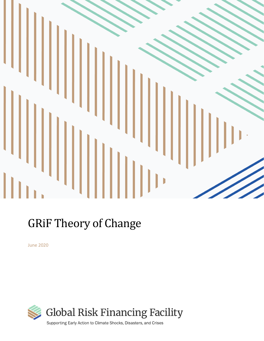

# GRiF Theory of Change

June 2020

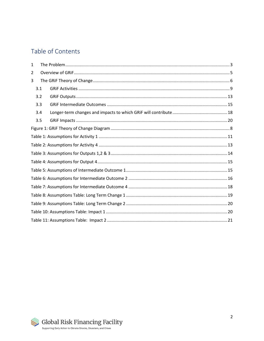# Table of Contents

| 1 |     |  |  |  |  |
|---|-----|--|--|--|--|
| 2 |     |  |  |  |  |
| 3 |     |  |  |  |  |
|   | 3.1 |  |  |  |  |
|   | 3.2 |  |  |  |  |
|   | 3.3 |  |  |  |  |
|   | 3.4 |  |  |  |  |
|   | 3.5 |  |  |  |  |
|   |     |  |  |  |  |
|   |     |  |  |  |  |
|   |     |  |  |  |  |
|   |     |  |  |  |  |
|   |     |  |  |  |  |
|   |     |  |  |  |  |
|   |     |  |  |  |  |
|   |     |  |  |  |  |
|   |     |  |  |  |  |
|   |     |  |  |  |  |
|   |     |  |  |  |  |
|   |     |  |  |  |  |

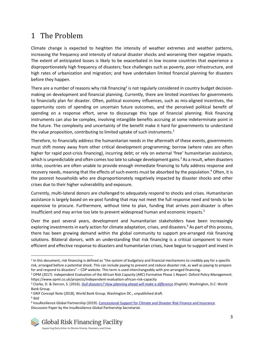# <span id="page-2-0"></span>1 The Problem

Climate change is expected to heighten the intensity of weather extremes and weather patterns, increasing the frequency and intensity of natural disaster shocks and worsening their negative impacts. The extent of anticipated losses is likely to be exacerbated in low income countries that experience a disproportionately high frequency of disasters; face challenges such as poverty, poor infrastructure, and high rates of urbanization and migration; and have undertaken limited financial planning for disasters before they happen.

There are a number of reasons why risk financing<sup>1</sup> is not regularly considered in country budget decisionmaking on development and financial planning. Currently, there are limited incentives for governments to financially plan for disaster. Often, political economy influences, such as mis-aligned incentives, the opportunity costs of spending on uncertain future outcomes, and the perceived political benefit of spending on a response effort, serve to discourage this type of financial planning. Risk financing instruments can also be complex, involving intangible benefits accruing at some indeterminate point in the future. The complexity and uncertainty of the benefit make it hard for governments to understand the value proposition, contributing to limited uptake of such instruments.<sup>2</sup>

Therefore, to financially address the humanitarian needs in the aftermath of these events, governments must shift money away from other critical development programming; borrow (where rates are often higher for rapid post-crisis financing), incurring debt; or rely on external 'free' humanitarian assistance, which is unpredictable and often comes too late to salvage development gains.<sup>3</sup> As a result, when disasters strike, countries are often unable to provide enough immediate financing to fully address response and recovery needs, meaning that the effects of such events must be absorbed by the population.<sup>4</sup> Often, it is the poorest households who are disproportionately negatively impacted by disaster shocks and other crises due to their higher vulnerability and exposure.

Currently, multi-lateral donors are challenged to adequately respond to shocks and crises. Humanitarian assistance is largely based on ex-post funding that may not meet the full response need and tends to be expensive to procure. Furthermore, without time to plan, funding that arrives post-disaster is often insufficient and may arrive too late to prevent widespread human and economic impacts.<sup>5</sup>

Over the past several years, development and humanitarian stakeholders have been increasingly exploring investments in early action for climate adaptation, crises, and disasters.<sup>6</sup> As part of this process, there has been growing demand within the global community to support pre-arranged risk financing solutions. Bilateral donors, with an understanding that risk financing is a critical component to more efficient and effective response to disasters and humanitarian crises, have begun to support and invest in

<sup>&</sup>lt;sup>1</sup> In this document, risk financing is defined as "the system of budgetary and financial mechanisms to credibly pay for a specific risk, arranged before a potential shock. This can include paying to prevent and reduce disaster risk, as well as paying to prepare for and respond to disasters" – CDP website. This term is used interchangeably with pre-arranged financing.

<sup>&</sup>lt;sup>2</sup> OPM (2017). Independent Evaluation of the African Risk Capacity (ARC) Formative Phase 1 Report. Oxford Policy Management. https://www.opml.co.uk/projects/independent-evaluation-african-risk-capacity

<sup>3</sup> Clarke, D. & Dercon, S. (2016). *Dull disasters? How planning ahead will make a [difference](http://documents.worldbank.org/curated/en/962821468836117709/Dull-disasters-How-planning-ahead-will-make-a-difference.) (English)*. Washington, D.C: World Bank Group.

<sup>4</sup> GRiF Concept Note (2018), World Bank Group, Washington DC., unpublished draft.

<sup>5</sup> ibid

<sup>&</sup>lt;sup>6</sup> InsuResilience Global Partnership (2019). Concessional Support for Climate and Disaster Risk Finance and Insurance. Discussion Paper by the InsuResilience Global Partnership Secretariat.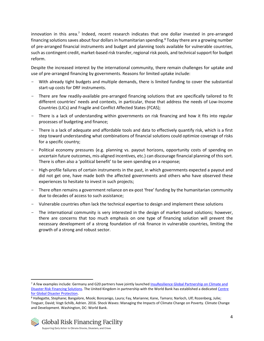innovation in this area.<sup>7</sup> Indeed, recent research indicates that one dollar invested in pre-arranged financing solutions saves about four dollars in humanitarian spending.<sup>8</sup> Today there are a growing number of pre-arranged financial instruments and budget and planning tools available for vulnerable countries, such as contingent credit, market-based risk transfer, regional risk pools, and technical support for budget reform.

Despite the increased interest by the international community, there remain challenges for uptake and use of pre-arranged financing by governments. Reasons for limited uptake include:

- With already tight budgets and multiple demands, there is limited funding to cover the substantial start-up costs for DRF instruments.
- There are few readily-available pre-arranged financing solutions that are specifically tailored to fit different countries' needs and contexts, in particular, those that address the needs of Low-Income Countries (LICs) and Fragile and Conflict Affected States (FCAS);
- There is a lack of understanding within governments on risk financing and how it fits into regular processes of budgeting and finance;
- There is a lack of adequate and affordable tools and data to effectively quantify risk, which is a first step toward understanding what combinations of financial solutions could optimize coverage of risks for a specific country;
- Political economy pressures (e.g. planning vs. payout horizons, opportunity costs of spending on uncertain future outcomes, mis-aligned incentives, etc.) can discourage financial planning of this sort. There is often also a 'political benefit' to be seen spending on a response;
- High-profile failures of certain instruments in the past, in which governments expected a payout and did not get one, have made both the affected governments and others who have observed these experiences to hesitate to invest in such projects;
- There often remains a government reliance on ex-post 'free' funding by the humanitarian community due to decades of access to such assistance;
- Vulnerable countries often lack the technical expertise to design and implement these solutions
- The international community is very interested in the design of market-based solutions; however, there are concerns that too much emphasis on one type of financing solution will prevent the necessary development of a strong foundation of risk finance in vulnerable countries, limiting the growth of a strong and robust sector.

<sup>7</sup> A few examples include: Germany and G20 partners have jointly launche[d InsuResilience Global Partnership on Climate and](https://www.insuresilience.org/)  [Disaster Risk Financing Solutions.](https://www.insuresilience.org/) The United Kingdom in partnership with the World Bank has established a dedicate[d Centre](https://www.disasterprotection.org/)  [for Global Disaster Protection.](https://www.disasterprotection.org/) 

<sup>8</sup> Hallegatte, Stephane; Bangalore, Mook; Bonzanigo, Laura; Fay, Marianne; Kane, Tamaro; Narloch, Ulf; Rozenberg, Julie; Treguer, David; Vogt-Schilb, Adrien. 2016. Shock Waves: Managing the Impacts of Climate Change on Poverty. Climate Change and Development. Washington, DC: World Bank.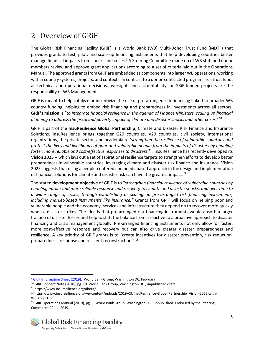# <span id="page-4-0"></span>2 Overview of GRiF

The Global Risk Financing Facility (GRiF) is a World Bank (WB) Multi-Donor Trust Fund (MDTF) that provides grants to test, pilot, and scale-up financing instruments that help developing countries better manage financial impacts from shocks and crises.<sup>9</sup> A Steering Committee made up of WB staff and donor members review and approve grant applications according to a set of criteria laid out in the Operations Manual. The approved grants from GRiF are embedded as components into larger WB operations, working within country systems, projects, and contexts. In contrast to a donor-contracted program, as a trust fund, all technical and operational decisions, oversight, and accountability for GRiF-funded projects are the responsibility of WB Management.

GRiF is meant to help catalyze or incentivize the use of pre-arranged risk financing linked to broader WB country funding, helping to embed risk financing and preparedness in investments across all sectors. **GRiF's mission** is "*to integrate financial resilience in the agenda of Finance Ministers, scaling up financial planning to address the fiscal and poverty impact of climate and disaster shocks and other crises.*" 10

GRiF is part of the **InsuResilience Global Partnership**, Climate and Disaster Risk Finance and Insurance Solutions. InsuResilience brings together G20 countries, V20 countries, civil society, international organizations, the private sector, and academia to '*strengthen the resilience of vulnerable countries and protect the lives and livelihoods of poor and vulnerable people from the impacts of disasters by enabling faster, more reliable and cost-effective responses to disasters'<sup>11</sup>*. InsuResilience has recently developed its **Vision 2025** -- which lays out a set of aspirational resilience targets to strengthen efforts to develop better preparedness in vulnerable countries, leveraging climate and disaster risk finance and insurance. Vision 2025 suggests that using a people-centered and needs-based approach in the design and implementation of financial solutions for climate and disaster risk can have the greatest impact.*<sup>12</sup>*

The stated **development objective** of GRiF is to "*strengthen financial resilience of vulnerable countries by enabling earlier and more reliable response and recovery to climate and disaster shocks, and over time to a wider range of crises, through establishing or scaling up pre-arranged risk financing instruments, including market-based instruments like insurance."* Grants from GRiF will focus on helping poor and vulnerable people and the economy, services and infrastructure they depend on to recover more quickly when a disaster strikes. The idea is that pre-arranged risk financing instruments would absorb a larger fraction of disaster losses and help to shift the balance from a reactive to a proactive approach to disaster financing and crisis management globally. Pre-arranged financing instruments not only allow for faster, more cost-effective response and recovery but can also drive greater disaster preparedness and resilience. A key priority of GRiF grants is to "create incentives for disaster prevention, risk reduction, preparedness, response and resilient reconstruction."<sup>13</sup>

<sup>&</sup>lt;sup>9</sup> [GRiF Information Sheet \(2019\). W](https://www.insuresilience.org/wp-content/uploads/2019/04/GRiF-Information-Sheet-Feb2019.pdf)orld Bank Group, Washington DC, February

<sup>10</sup> GRiF Concept Note (2018), pg. 10. World Bank Group, Washington DC., unpublished draft.

<sup>11</sup> https://www.insuresilience.org/about/

<sup>12</sup> https://www.insuresilience.org/wp-content/uploads/2019/09/InsuResilience-Global-Partnership\_Vision-2025-with-Workplan1.pdf

<sup>13</sup> GRIF Operations Manual (2019), pg. 3. World Bank Group, Washington DC., unpublished. Endorsed by the Steering Committee 29 Jan 2019.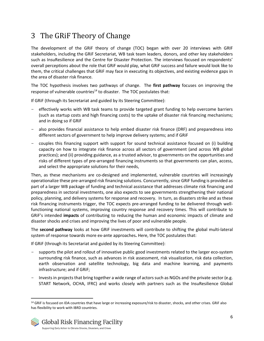# <span id="page-5-0"></span>3 The GRiF Theory of Change

The development of the GRiF theory of change (TOC) began with over 20 interviews with GRIF stakeholders, including the GRiF Secretariat, WB task team leaders, donors, and other key stakeholders such as InsuResilience and the Centre for Disaster Protection. The interviews focused on respondents' overall perceptions about the role that GRiF would play, what GRiF success and failure would look like to them, the critical challenges that GRiF may face in executing its objectives, and existing evidence gaps in the area of disaster risk finance.

The TOC hypothesis involves two pathways of change. The **first pathway** focuses on improving the response of vulnerable countries $14$  to disaster. The TOC postulates that:

If GRiF (through its Secretariat and guided by its Steering Committee):

- effectively works with WB task teams to provide targeted grant funding to help overcome barriers (such as startup costs and high financing costs) to the uptake of disaster risk financing mechanisms; and in doing so if GRiF
- also provides financial assistance to help embed disaster risk finance (DRF) and preparedness into different sectors of government to help improve delivery systems; and if GRiF
- couples this financing support with support for sound technical assistance focused on (i) building capacity on how to integrate risk finance across all sectors of government (and across WB global practices); and (ii) providing guidance, as a trusted advisor, to governments on the opportunities and risks of different types of pre-arranged financing instruments so that governments can plan, access, and select the appropriate solutions for their needs,

Then, as these mechanisms are co-designed and implemented, vulnerable countries will increasingly operationalize these pre-arranged risk financing solutions. Concurrently, since GRiF funding is provided as part of a larger WB package of funding and technical assistance that addresses climate risk financing and preparedness in sectoral investments, one also expects to see governments strengthening their national policy, planning, and delivery systems for response and recovery. In turn, as disasters strike and as these risk financing instruments trigger, the TOC expects pre-arranged funding to be delivered through wellfunctioning national systems, improving country response and recovery times. This will contribute to GRiF's intended **impacts** of contributing to reducing the human and economic impacts of climate and disaster shocks and crises and improving the lives of poor and vulnerable people.

The **second pathway** looks at how GRiF investments will contribute to shifting the global multi-lateral system of response towards more ex-ante approaches**.** Here, the TOC postulates that:

If GRiF (through its Secretariat and guided by its Steering Committee):

- supports the pilot and rollout of innovative public good investments related to the larger eco-system surrounding risk finance, such as advances in risk assessment, risk visualization, risk data collection, earth observation and satellite technology, big data and machine learning, and payments infrastructure; and if GRiF;
- Invests in projects that bring together a wide range of actors such as NGOs and the private sector (e.g. START Network, OCHA, IFRC) and works closely with partners such as the InsuResilience Global

<sup>14</sup> GRIF is focused on IDA countries that have large or increasing exposure/risk to disaster, shocks, and other crises. GRIF also has flexibility to work with IBRD countries.

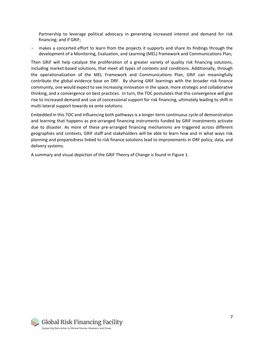Partnership to leverage political advocacy in generating increased interest and demand for risk financing; and if GRiF;

- makes a concerted effort to learn from the projects it supports and share its findings through the development of a Monitoring, Evaluation, and Learning (MEL) framework and Communications Plan,

Then GRiF will help catalyze the proliferation of a greater variety of quality risk financing solutions, including market-based solutions, that meet all types of contexts and conditions. Additionally, through the operationalization of the MEL Framework and Communications Plan, GRiF can meaningfully contribute the global evidence base on DRF. By sharing GRiF learnings with the broader risk finance community, one would expect to see increasing innovation in the space, more strategic and collaborative thinking, and a convergence on best practices. In turn, the TOC postulates that this convergence will give rise to increased demand and use of concessional support for risk financing, ultimately leading to shift in multi-lateral support towards ex-ante solutions.

Embedded in this TOC and influencing both pathways is a longer-term continuous cycle of demonstration and learning that happens as pre-arranged financing instruments funded by GRiF investments activate due to disaster. As more of these pre-arranged financing mechanisms are triggered across different geographies and contexts, GRiF staff and stakeholders will be able to learn how and in what ways risk planning and preparedness linked to risk finance solutions lead to improvements in DRF policy, data, and delivery systems.

A summary and visual depiction of the GRiF Theory of Change is found in Figure 1.

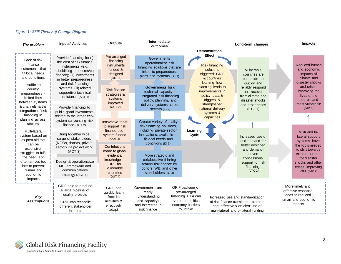<span id="page-7-0"></span>

| The problem                                                                                                                                                                                                  | <b>Inputs/ Activities</b>                                                                                                                                                                                                                                                                                      | <b>Outputs</b>                                                                                                                                            | Intermediate<br>outcomes                                                                                                                                                                                                                                                  |                                                                                                                                                                                                                                  | Long-term changes                                                                                                                                                     | <b>Impacts</b>                                                                                                                                                                        |
|--------------------------------------------------------------------------------------------------------------------------------------------------------------------------------------------------------------|----------------------------------------------------------------------------------------------------------------------------------------------------------------------------------------------------------------------------------------------------------------------------------------------------------------|-----------------------------------------------------------------------------------------------------------------------------------------------------------|---------------------------------------------------------------------------------------------------------------------------------------------------------------------------------------------------------------------------------------------------------------------------|----------------------------------------------------------------------------------------------------------------------------------------------------------------------------------------------------------------------------------|-----------------------------------------------------------------------------------------------------------------------------------------------------------------------|---------------------------------------------------------------------------------------------------------------------------------------------------------------------------------------|
|                                                                                                                                                                                                              |                                                                                                                                                                                                                                                                                                                |                                                                                                                                                           |                                                                                                                                                                                                                                                                           | <b>Demonstration</b>                                                                                                                                                                                                             |                                                                                                                                                                       |                                                                                                                                                                                       |
| Lack of risk<br>finance<br>instruments that<br>fit local needs<br>and conditions<br>Insufficient<br>country<br>preparedness -<br>limited links<br>between systems<br>& channels & the<br>integration of risk | Provide financing for (i)<br>the cost of risk finance<br>instruments (e.g.<br>subsidizing premiums/co-<br>finance); (ii) investments<br>in better preparedness<br>and risk financing<br>systems (iii) related<br>supportive technical<br>assistance (ACT 1)<br>Provide financing to<br>public good investments | Pre-arranged<br>financing<br>instruments<br>funded &<br>designed<br>(OUT 1)<br><b>Risk finance</b><br>strategies &<br>systems<br>improved<br>(OUT 2)      | Governments<br>operationalize risk<br>financing solutions that are<br>linked to preparedness<br>plans and systems (IO 1)<br>Governments build<br>technical capacity in<br>integrated risk financing<br>policy, planning, and<br>delivery systems across<br>sectors (IO 2) | <b>Effect</b><br><b>Risk financing</b><br>solutions<br>triggered; GRiF<br>& countries<br>learning how<br>planning leads to<br>improvements in<br>policy, data &<br>triggers, &<br>strengthened<br>national delivery<br>systems & | Vulnerable<br>countries are<br>better able to<br>quickly and<br>reliably respond<br>and recover<br>from climate and<br>disaster shocks<br>and other crises<br>(LTC 1) | Reduced human<br>and economic<br>impacts of<br>climate and<br>disaster shocks<br>and crises.<br>improving the<br>lives of the<br>poorest and<br>most vulnerable<br>(IMP 1)            |
| financing in<br>planning across<br>sectors                                                                                                                                                                   | related to the larger eco-<br>system surrounding risk<br>finance (ACT 2)                                                                                                                                                                                                                                       | Innovative tools<br>to support risk                                                                                                                       | Greater variety of quality<br>risk financing solutions,                                                                                                                                                                                                                   | capacities                                                                                                                                                                                                                       |                                                                                                                                                                       |                                                                                                                                                                                       |
| Multi-lateral<br>system based on<br>ex post aid that<br>can be<br>expensive,<br>struggles to fulfil<br>the need, and<br>often arrives too<br>late to prevent<br>human and<br>economic<br>impacts             | Bring together wide<br>range of stakeholders<br>(NGOs, donors, private<br>sector) via project work<br>(ACT 3)<br>Design & operationalize<br>MEL framework and<br>communications<br>strategy (ACT 4)                                                                                                            | finance eco-<br>system funded<br>(OUT 3)<br>Contributions<br>made to global<br>evidence/<br>knowledge in<br>DRF for<br>vulnerable<br>countries<br>(OUT 4) | including private sector<br>innovations, available to<br>fit local needs and<br>conditions (IO 3)<br>More strategic and<br>collaborative thinking<br>around risk finance by<br>donors, WB, and other<br>stakeholders (IO 4)                                               | Learning<br>Cycle                                                                                                                                                                                                                | Increased use of<br>and demand for<br>better designed<br>and demand-<br>driven<br>concessional<br>support for risk<br>financing.<br>(LTC 2)                           | Multi and bi-<br>lateral support<br>systems have<br>the tools needed<br>to shift towards<br>ex-ante support<br>for disaster<br>shocks and other<br>crises, improving<br>$VfM$ (IMP 2) |
| Key<br><b>Assumptions</b>                                                                                                                                                                                    | GRIF able to produce<br>a large pipeline of<br>quality projects<br><b>GRIF</b> can reconcile<br>different stakeholder<br>interests                                                                                                                                                                             | GRiF can<br>quickly learn<br>from its<br>activities &<br>effectively<br>adapt                                                                             | Governments are<br>ready<br>(understanding<br>and capacity)<br>and interested in<br>risk finance                                                                                                                                                                          | GRiF package of<br>pre-arranged<br>financing $+TA$ can<br>overcome political<br>economy barriers<br>to uptake                                                                                                                    | Increased use and standardization<br>of risk finance translates into more<br>cost-effective & efficient use of<br>multi-lateral and bi-lateral funding                | More timely and<br>effective response<br>leads to reduced<br>human and economic<br>impacts                                                                                            |

#### *Figure 1: GRiF Theory of Change Diagram*

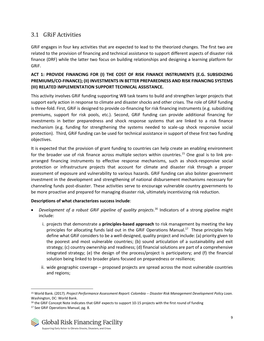### <span id="page-8-0"></span>3.1 GRiF Activities

GRiF engages in four key activities that are expected to lead to the theorized changes. The first two are related to the provision of financing and technical assistance to support different aspects of disaster risk finance (DRF) while the latter two focus on building relationships and designing a learning platform for GRiF.

#### **ACT 1: PROVIDE FINANCING FOR (I) THE COST OF RISK FINANCE INSTRUMENTS (E.G. SUBSIDIZING PREMIUMS/CO-FINANCE); (II) INVESTMENTS IN BETTER PREPAREDNESS AND RISK FINANCING SYSTEMS (III) RELATED IMPLEMENTATION SUPPORT TECHNICAL ASSISTANCE.**

This activity involves GRiF funding supporting WB task teams to build and strengthen larger projects that support early action in response to climate and disaster shocks and other crises. The role of GRiF funding is three-fold. First, GRiF is designed to provide co-financing for risk financing instruments (e.g. subsidizing premiums, support for risk pools, etc.). Second, GRiF funding can provide additional financing for investments in better preparedness and shock response systems that are linked to a risk finance mechanism (e.g. funding for strengthening the systems needed to scale-up shock responsive social protection). Third, GRiF funding can be used for technical assistance in support of these first two funding objectives.

It is expected that the provision of grant funding to countries can help create an enabling environment for the broader use of risk finance across multiple sectors within countries.<sup>15</sup> One goal is to link prearranged financing instruments to effective response mechanisms, such as shock-responsive social protection or infrastructure projects that account for climate and disaster risk through a proper assessment of exposure and vulnerability to various hazards. GRiF funding can also bolster government investment in the development and strengthening of national disbursement mechanisms necessary for channeling funds post-disaster. These activities serve to encourage vulnerable country governments to be more proactive and prepared for managing disaster risk, ultimately incentivizing risk reduction.

#### **Descriptions of what characterizes success include**:

- *Development of a robust GRiF pipeline of quality projects*. <sup>16</sup> Indicators of a strong pipeline might include:
	- i. projects that demonstrate a **principles-based approach** to risk management by meeting the key principles for allocating funds laid out in the GRiF Operations Manual.<sup>17</sup> These principles help define what GRiF considers to be a well-designed, quality project and include: (a) priority given to the poorest and most vulnerable countries; (b) sound articulation of a sustainability and exit strategy; (c) country ownership and readiness; (d) financial solutions are part of a comprehensive integrated strategy; (e) the design of the process/project is participatory; and (f) the financial solution being linked to broader plans focused on preparedness or resilience;
	- ii. wide geographic coverage proposed projects are spread across the most vulnerable countries and regions;

<sup>&</sup>lt;sup>16</sup> the GRiF Concept Note indicates that GRiF expects to support 10-15 projects with the first round of funding <sup>17</sup> See GRiF Operations Manual, pg. 8.

![](_page_8_Picture_11.jpeg)

<sup>15</sup> World Bank. (2017). *Project Performance Assessment Report: Colombia -- Disaster Risk Management Development Policy Loan.* Washington, DC: World Bank.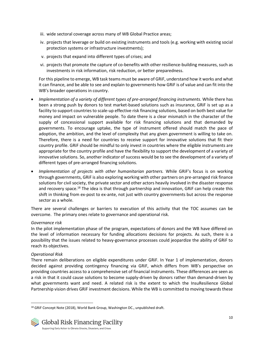- iii. wide sectoral coverage across many of WB Global Practice areas;
- iv. projects that leverage or build on existing instruments and tools (e.g. working with existing social protection systems or infrastructure investments);
- v. projects that expand into different types of crises; and
- vi. projects that promote the capture of co-benefits with other resilience-building measures, such as investments in risk information, risk reduction, or better preparedness.

For this pipeline to emerge, WB task teams must be aware of GRiF, understand how it works and what it can finance, and be able to see and explain to governments how GRiF is of value and can fit into the WB's broader operations in country.

- *Implementation of a variety of different types of pre-arranged financing instruments.* While there has been a strong push by donors to test market-based solutions such as insurance, GRiF is set up as a facility to support countries to scale-up effective risk financing solutions, based on both best value for money and impact on vulnerable people. To date there is a clear mismatch in the character of the supply of concessional support available for risk financing solutions and that demanded by governments. To encourage uptake, the type of instrument offered should match the pace of adoption, the ambition, and the level of complexity that any given government is willing to take on. Therefore, there is a need for countries to receive support for innovative solutions that fit their country profile. GRiF should be mindful to only invest in countries where the eligible instruments are appropriate for the country profile and have the flexibility to support the development of a variety of innovative solutions. So, another indicator of success would be to see the development of a variety of different types of pre-arranged financing solutions.
- *Implementation of projects with other humanitarian partners.* While GRiF's focus is on working through governments, GRiF is also exploring working with other partners on pre-arranged risk finance solutions for civil society, the private sector and other actors heavily involved in the disaster response and recovery space.<sup>18</sup> The idea is that through partnership and innovation, GRIF can help create this shift in thinking from ex-post to ex-ante, not just with country governments but across the response sector as a whole.

There are several challenges or barriers to execution of this activity that the TOC assumes can be overcome. The primary ones relate to governance and operational risk.

#### *Governance risk*

In the pilot implementation phase of the program, expectations of donors and the WB have differed on the level of information necessary for funding allocations decisions for projects*.* As such, there is a possibility that the issues related to heavy-governance processes could jeopardize the ability of GRiF to reach its objectives.

#### *Operational Risk*

There remain deliberations on eligible expenditures under GRiF. In Year 1 of implementation, donors decided against providing contingency financing via GRiF, which differs from WB's perspective on providing countries access to a comprehensive set of financial instruments. These differences are seen as a risk in that it could cause solutions to become supply-driven by donors rather than demand-driven by what governments want and need. A related risk is the extent to which the InsuResilience Global Partnership vision drives GRiF investment decisions. While the WB is committed to moving towards these

<sup>&</sup>lt;sup>18</sup> GRiF Concept Note (2018), World Bank Group, Washington DC., unpublished draft.

![](_page_9_Picture_13.jpeg)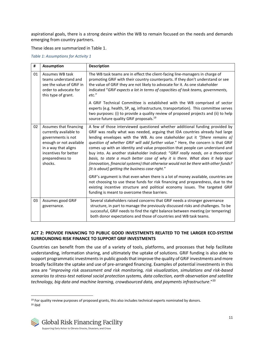aspirational goals, there is a strong desire within the WB to remain focused on the needs and demands emerging from country partners.

These ideas are summarized in Table 1.

#### <span id="page-10-0"></span>*Table 1: Assumptions for Activity 1*

| #  | <b>Assumption</b>                                                                                                                                                                | <b>Description</b>                                                                                                                                                                                                                                                                                                                                                                                                                                                                                                                                                                                                                                                                                                                                                                                                      |
|----|----------------------------------------------------------------------------------------------------------------------------------------------------------------------------------|-------------------------------------------------------------------------------------------------------------------------------------------------------------------------------------------------------------------------------------------------------------------------------------------------------------------------------------------------------------------------------------------------------------------------------------------------------------------------------------------------------------------------------------------------------------------------------------------------------------------------------------------------------------------------------------------------------------------------------------------------------------------------------------------------------------------------|
| 01 | Assumes WB task<br>teams understand and<br>see the value of GRIF in<br>order to advocate for<br>this type of grant.                                                              | The WB task teams are in effect the client-facing line-managers in charge of<br>promoting GRIF with their country counterparts. If they don't understand or see<br>the value of GRiF they are not likely to advocate for it. As one stakeholder<br>indicated "GRiF expects a lot in terms of capacities of task teams, governments,<br>etc."                                                                                                                                                                                                                                                                                                                                                                                                                                                                            |
|    |                                                                                                                                                                                  | A GRIF Technical Committee is established with the WB comprised of sector<br>experts (e.g. health, SP, ag, infrastructure, transportation). This committee serves<br>two purposes: (i) to provide a quality review of proposed projects and (ii) to help<br>source future quality GRIF proposals. <sup>19</sup>                                                                                                                                                                                                                                                                                                                                                                                                                                                                                                         |
| 02 | Assumes that financing<br>currently available to<br>governments is not<br>enough or not available<br>in a way that aligns<br>incentives for better<br>preparedness to<br>shocks. | A few of those interviewed questioned whether additional funding provided by<br>GRIF was really what was needed, arguing that IDA countries already had large<br>lending envelopes with the WB. As one stakeholder put it "[there remains a]<br>question of whether GRiF will add further value." Here, the concern is that GRiF<br>comes up with an identity and value proposition that people can understand and<br>buy into. As another stakeholder indicated: "GRiF really needs, on a theoretical<br>basis, to state a much better case of why it is there. What does it help spur<br>(innovation, financial systems) that otherwise would not be there with other funds?<br>[It is about] getting the business case right."<br>GRIF's argument is that even when there is a lot of money available, countries are |
|    |                                                                                                                                                                                  | not choosing to use these funds for risk financing and preparedness, due to the<br>existing incentive structure and political economy issues. The targeted GRIF<br>funding is meant to overcome these barriers.                                                                                                                                                                                                                                                                                                                                                                                                                                                                                                                                                                                                         |
| 03 | Assumes good GRIF<br>governance.                                                                                                                                                 | Several stakeholders raised concerns that GRiF needs a stronger governance<br>structure, in part to manage the previously discussed risks and challenges. To be<br>successful, GRiF needs to find the right balance between meeting (or tempering)<br>both donor expectations and those of countries and WB task teams.                                                                                                                                                                                                                                                                                                                                                                                                                                                                                                 |

#### **ACT 2: PROVIDE FINANCING TO PUBLIC GOOD INVESTMENTS RELATED TO THE LARGER ECO-SYSTEM SURROUNDING RISK FINANCE TO SUPPORT GRIF INVESTMENTS**

Countries can benefit from the use of a variety of tools, platforms, and processes that help facilitate understanding, information sharing, and ultimately the uptake of solutions. GRiF funding is also able to support programmatic investments in public goods that improve the quality of GRiF investments and more broadly facilitate the uptake and use of pre-arranged financing. Examples of potential investments in this area are "*improving risk assessment and risk monitoring, risk visualization, simulations and risk-based scenarios to stress-test national social protection systems, data collection, earth observation and satellite technology, big data and machine learning, crowdsourced data, and payments infrastructure*."<sup>20</sup>

<sup>19</sup> For quality review purposes of proposed grants, this also includes technical experts nominated by donors. <sup>20</sup> ibid

![](_page_10_Picture_7.jpeg)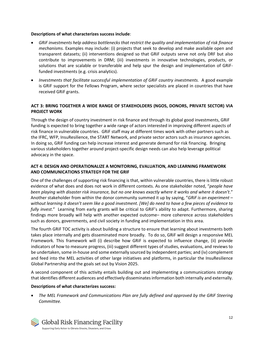#### **Descriptions of what characterizes success include**:

- *GRiF investments help address bottlenecks that restrict the quality and implementation of risk finance mechanisms.* Examples may include: (i) projects that seek to develop and make available open and transparent datasets; (ii) interventions designed so that GRiF outputs serve not only DRF but also contribute to improvements in DRM; (iii) investments in innovative technologies, products, or solutions that are scalable or transferable and help spur the design and implementation of GRiFfunded investments (e.g. crisis analytics).
- *Investments that facilitate successful implementation of GRiF country investments.* A good example is GRiF support for the Fellows Program, where sector specialists are placed in countries that have received GRiF grants.

#### **ACT 3: BRING TOGETHER A WIDE RANGE OF STAKEHOLDERS (NGOS, DONORS, PRIVATE SECTOR) VIA PROJECT WORK**

Through the design of country investment in risk finance and through its global good investments, GRiF funding is expected to bring together a wide range of actors interested in improving different aspects of risk finance in vulnerable countries. GRiF staff may at different times work with other partners such as the IFRC, WFP, InsuResilience, the START Network, and private sector actors such as insurance agencies. In doing so, GRiF funding can help increase interest and generate demand for risk financing. Bringing various stakeholders together around project-specific design needs can also help leverage political advocacy in the space.

#### **ACT 4: DESIGN AND OPERATIONALIZE A MONITORING, EVALUATION, AND LEARNING FRAMEWORK AND COMMUNICATIONS STRATEGY FOR THE GRIF**

One of the challenges of supporting risk financing is that, within vulnerable countries, there is little robust evidence of what does and does not work in different contexts. As one stakeholder noted, "*people have been playing with disaster risk insurance, but no one knows exactly where it works and where it doesn't*." Another stakeholder from within the donor community summed it up by saying, "*GRiF is an experiment – without learning it doesn't seem like a good investment. [We] do need to have a few pieces of evidence to fully invest*." Learning from early grants will be critical to GRiF's ability to adapt. Furthermore, sharing findings more broadly will help with another expected outcome– more coherence across stakeholders such as donors, governments, and civil society in funding and implementation in this area.

The fourth GRiF TOC activity is about building a structure to ensure that learning about investments both takes place internally and gets disseminated more broadly. To do so, GRiF will design a responsive MEL Framework*.* This framework will (i) describe how GRiF is expected to influence change, (ii) provide indicators of how to measure progress, (iii) suggest different types of studies, evaluations, and reviews to be undertaken, some in-house and some externally sourced by independent parties; and (iv) complement and feed into the MEL activities of other large initiatives and platforms, in particular the InsuResilience Global Partnership and the goals set out by Vision 2025.

A second component of this activity entails building out and implementing a communications strategy that identifies different audiences and effectively disseminates information both internally and externally.

#### **Descriptions of what characterizes success:**

• *The MEL Framework and Communications Plan are fully defined and approved by the GRiF Steering Committee.* 

![](_page_11_Picture_11.jpeg)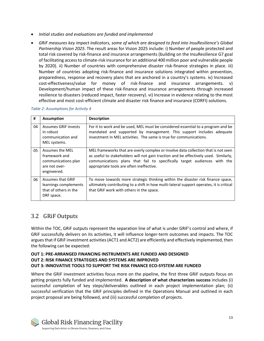- *Initial studies and evaluations are funded and implemented*
- *GRiF measures key impact indicators, some of which are designed to feed into InsuResilience's Global Partnership Vision 2025*. The result areas for Vision 2025 include: i) Number of people protected and total risk covered by risk-finance and insurance arrangements (building on the InsuResilience G7 goal of facilitating access to climate-risk insurance for an additional 400 million poor and vulnerable people by 2020). ii) Number of countries with comprehensive disaster risk-finance strategies in place. iii) Number of countries adopting risk-finance and insurance solutions integrated within prevention, preparedness, response and recovery plans that are anchored in a country's systems. iv) Increased cost-effectiveness/value for money of risk-finance and insurance arrangements. v) Development/human impact of these risk-finance and insurance arrangements through increased resilience to disasters (reduced impact, faster recovery). vi) Increase in evidence relating to the most effective and most cost-efficient climate and disaster risk finance and insurance (CDRFI) solutions.

| #  | <b>Assumption</b>                                                                       | <b>Description</b>                                                                                                                                                                                                                                                                                 |
|----|-----------------------------------------------------------------------------------------|----------------------------------------------------------------------------------------------------------------------------------------------------------------------------------------------------------------------------------------------------------------------------------------------------|
| 04 | Assumes GRIF invests<br>in robust<br>communication and<br>MEL systems.                  | For it to work and be used, MEL must be considered essential to a program and be<br>mandated and supported by management. This support includes adequate<br>investment in MEL activities. The same is true for communications.                                                                     |
| 05 | Assumes the MEL<br>framework and<br>communications plan<br>are not over-<br>engineered. | MEL frameworks that are overly complex or involve data collection that is not seen<br>as useful to stakeholders will not gain traction and be effectively used. Similarly,<br>communications plans that fail to specifically target audiences with the<br>appropriate tools are often ineffective. |
| 06 | Assumes that GRIF<br>learnings complements<br>that of others in the<br>DRF space.       | To move towards more strategic thinking within the disaster risk finance space,<br>ultimately contributing to a shift in how multi-lateral support operates, it is critical<br>that GRIF work with others in the space.                                                                            |

<span id="page-12-1"></span>*Table 2: Assumptions for Activity 4*

## <span id="page-12-0"></span>3.2 GRiF Outputs

Within the TOC, GRiF outputs represent the separation line of what is under GRiF's control and where, if GRiF successfully delivers on its activities, it will influence longer-term outcomes and impacts. The TOC argues that if GRiF investment activities (ACT1 and ACT2) are efficiently and effectively implemented, then the following can be expected:

#### **OUT 1: PRE-ARRANGED FINANCING INSTRUMENTS ARE FUNDED AND DESIGNED OUT 2: RISK FINANCE STRATEGIES AND SYSTEMS ARE IMPROVED OUT 3: INNOVATIVE TOOLS TO SUPPORT THE RISK FINANCE ECO-SYSTEM ARE FUNDED**

Where the GRiF investment activities focus more on the pipeline, the first three GRiF outputs focus on getting projects fully funded and implemented. **A description of what characterizes success** includes (i) successful completion of key steps/deliverables outlined in each project implementation plan; (ii) successful verification that the GRiF principles defined in the Operations Manual and outlined in each project proposal are being followed, and (iii) successful completion of projects.

![](_page_12_Picture_8.jpeg)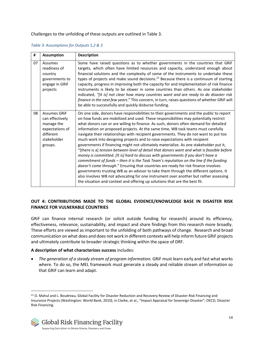Challenges to the unfolding of these outputs are outlined in Table 3.

| #  | <b>Assumption</b>                                                                                              | <b>Description</b>                                                                                                                                                                                                                                                                                                                                                                                                                                                                                                                                                                                                                                                                                                                                                                                                                                                                                                                                                                                                                                                                                                                                                                                                                                         |
|----|----------------------------------------------------------------------------------------------------------------|------------------------------------------------------------------------------------------------------------------------------------------------------------------------------------------------------------------------------------------------------------------------------------------------------------------------------------------------------------------------------------------------------------------------------------------------------------------------------------------------------------------------------------------------------------------------------------------------------------------------------------------------------------------------------------------------------------------------------------------------------------------------------------------------------------------------------------------------------------------------------------------------------------------------------------------------------------------------------------------------------------------------------------------------------------------------------------------------------------------------------------------------------------------------------------------------------------------------------------------------------------|
| 07 | Assumes<br>readiness of<br>country<br>governments to<br>engage in GRIF<br>projects                             | Some have raised questions as to whether governments in the countries that GRIF<br>targets, which often have limited resources and capacity, understand enough about<br>financial solutions and the complexity of some of the instruments to undertake these<br>types of projects and make sound decisions. <sup>21</sup> Because there is a continuum of starting<br>capacity, progress in improving both the capacity for and implementation of risk finance<br>instruments is likely to be slower in some countries than others. As one stakeholder<br>indicated, "[it is] not clear how many countries want and are ready to do disaster risk<br>finance in the next few years." This concern, in turn, raises questions of whether GRiF will<br>be able to successfully and quickly disburse funding.                                                                                                                                                                                                                                                                                                                                                                                                                                                 |
| 08 | <b>Assumes GRIF</b><br>can effectively<br>manage the<br>expectations of<br>different<br>stakeholder<br>groups. | On one side, donors have responsibilities to their governments and the public to report<br>on how funds are mobilized and used. These responsibilities may potentially restrict<br>what donors can or are willing to finance. As such, donors often demand for detailed<br>information on proposed projects. At the same time, WB task teams must carefully<br>navigate their relationships with recipient governments. They do not want to put too<br>much work into designing projects and to raise expectations with recipient<br>governments if financing might not ultimately materialize. As one stakeholder put it,<br>"[there is a] tension between level of detail that donors want and what is feasible before<br>money is committed. [It is] hard to discuss with governments if you don't have a<br>commitment of funds - then it is the Task Team's reputation on the line if the funding<br>doesn't come through." Ensuring that countries are ready for risk finance involves<br>governments trusting WB as an advisor to take them through the different options. It<br>also involves WB not advocating for one instrument over another but rather assessing<br>the situation and context and offering up solutions that are the best fit. |

#### <span id="page-13-0"></span>*Table 3: Assumptions for Outputs 1,2 & 3*

#### **OUT 4: CONTRIBUTIONS MADE TO THE GLOBAL EVIDENCE/KNOWLEDGE BASE IN DISASTER RISK FINANCE FOR VULNERABLE COUNTRIES**

GRiF can finance internal research (or solicit outside funding for research) around its efficiency, effectiveness, relevance, sustainability, and impact and share findings from this research more broadly. These efforts are viewed as important to the unfolding of both pathways of change. Research and broad communication on what does and does not work in different contexts will help inform future GRiF projects and ultimately contribute to broader strategic thinking within the space of DRF.

#### **A description of what characterizes success** includes:

• *The generation of a steady stream of program information.* GRiF must learn early and fast what works where. To do so, the MEL framework must generate a steady and reliable stream of information so that GRiF can learn and adapt.

<sup>21</sup> O. Mahul and L. Boudreau, Global Facility for Disaster Reduction and Recovery Review of Disaster Risk Financing and Insurance Projects (Washington: World Bank, 2010), in Clarke, et al., "Impact Appraisal for Sovereign Disaster"; OECD, Disaster Risk Financing.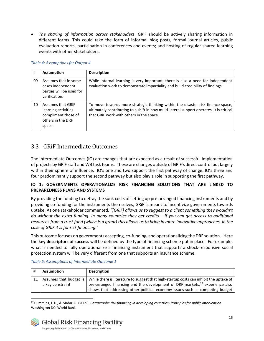• *The sharing of information across stakeholders*. GRiF should be actively sharing information in different forms. This could take the form of informal blog posts, formal journal articles, public evaluation reports, participation in conferences and events; and hosting of regular shared learning events with other stakeholders.

#### <span id="page-14-1"></span>*Table 4: Assumptions for Output 4*

| #  | <b>Assumption</b>                                                                                     | <b>Description</b>                                                                                                                                                                                                      |
|----|-------------------------------------------------------------------------------------------------------|-------------------------------------------------------------------------------------------------------------------------------------------------------------------------------------------------------------------------|
| 09 | Assumes that in some<br>cases independent<br>parties will be used for<br>verification.                | While internal learning is very important, there is also a need for independent<br>evaluation work to demonstrate impartiality and build credibility of findings.                                                       |
| 10 | <b>Assumes that GRIF</b><br>learning activities<br>compliment those of<br>others in the DRF<br>space. | To move towards more strategic thinking within the disaster risk finance space,<br>ultimately contributing to a shift in how multi-lateral support operates, it is critical<br>that GRIF work with others in the space. |

### <span id="page-14-0"></span>3.3 GRiF Intermediate Outcomes

The Intermediate Outcomes (IO) are changes that are expected as a result of successful implementation of projects by GRiF staff and WB task teams. These are changes outside of GRiF's direct control but largely within their sphere of influence. IO's one and two support the first pathway of change. IO's three and four predominantly support the second pathway but also play a role in supporting the first pathway.

#### **IO 1: GOVERNMENTS OPERATIONALIZE RISK FINANCING SOLUTIONS THAT ARE LINKED TO PREPAREDNESS PLANS AND SYSTEMS**

By providing the funding to defray the sunk costs of setting up pre-arranged financing instruments and by providing co-funding for the instruments themselves, GRiF is meant to incentivize governments towards uptake. As one stakeholder commented, *"[GRiF] allows us to suggest to a client something they wouldn't do without the extra funding. In many countries they get credits – if you can get access to additional resources from a trust fund (which is a grant) this allows us to bring in more innovative approaches. In the case of GRiF it is for risk financing*."

This outcome focuses on governments accepting, co-funding, and operationalizing the DRF solution. Here the **key descriptors of success** will be defined by the type of financing scheme put in place. For example, what is needed to fully operationalize a financing instrument that supports a shock-responsive social protection system will be very different from one that supports an insurance scheme.

|    | <b>Assumption</b> | <b>Description</b>                                                                                              |
|----|-------------------|-----------------------------------------------------------------------------------------------------------------|
| 11 |                   | Assumes that budget is   While there is literature to suggest that high-startup costs can inhibit the uptake of |
|    | a key constraint  | pre-arranged financing and the development of DRF markets, $^{22}$ experience also                              |
|    |                   | shows that addressing other political economy issues such as competing budget                                   |

#### <span id="page-14-2"></span>*Table 5: Assumptions of Intermediate Outcome 1*

<sup>22</sup> Cummins, J. D., & Mahu, O. (2009). *Catastrophe risk financing in developing countries- Principles for public intervention.* Washington DC: World Bank.

![](_page_14_Picture_11.jpeg)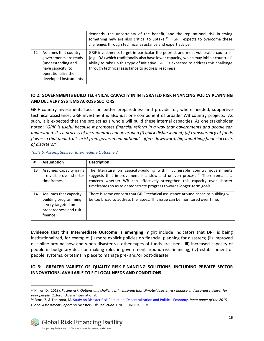|    |                                                                                                                                         | demands, the uncertainty of the benefit, and the reputational risk in trying<br>something new are also critical to uptake. $23$ GRiF expects to overcome these<br>challenges through technical assistance and expert advice.                                                                                             |
|----|-----------------------------------------------------------------------------------------------------------------------------------------|--------------------------------------------------------------------------------------------------------------------------------------------------------------------------------------------------------------------------------------------------------------------------------------------------------------------------|
| 12 | Assumes that country<br>governments are ready<br>(understanding and<br>have capacity) to<br>operationalize the<br>developed instruments | GRIF investments target in particular the poorest and most vulnerable countries<br>(e.g. IDA) which traditionally also have lower capacity, which may inhibit countries'<br>ability to take up this type of initiative. GRiF is expected to address this challenge<br>through technical assistance to address readiness. |

#### **IO 2: GOVERNMENTS BUILD TECHNICAL CAPACITY IN INTEGRATED RISK FINANCING POLICY PLANNING AND DELIVERY SYSTEMS ACROSS SECTORS**

GRiF country investments focus on better preparedness and provide for, where needed, supportive technical assistance. GRiF investment is also just one component of broader WB country projects. As such, it is expected that the project as a whole will build these internal capacities. As one stakeholder noted: "*GRiF is useful because it promotes financial reform in a way that governments and people can understand. It's a process of incremental change around (i) quick disbursement; (ii) transparency of funds flow – so that audit trails exist from government national coffers downward; (iii) smoothing financial costs of disasters."*

#### <span id="page-15-0"></span>*Table 6: Assumptions for Intermediate Outcome 2*

| #  | <b>Assumption</b>                                                                                           | <b>Description</b>                                                                                                                                                                                                                                                                                                    |
|----|-------------------------------------------------------------------------------------------------------------|-----------------------------------------------------------------------------------------------------------------------------------------------------------------------------------------------------------------------------------------------------------------------------------------------------------------------|
| 13 | Assumes capacity gains<br>are visible over shorter<br>timeframes.                                           | The literature on capacity-building within vulnerable country governments<br>suggests that improvement is a slow and uneven process. <sup>24</sup> There remains a<br>concern whether WB can effectively strengthen this capacity over shorter<br>timeframes so as to demonstrate progress towards longer-term goals. |
| 14 | Assumes that capacity-<br>building programming<br>is very targeted on<br>preparedness and risk-<br>finance. | There is some concern that GRIF technical assistance around capacity-building will<br>be too broad to address the issues. This issue can be monitored over time.                                                                                                                                                      |

**Evidence that this Intermediate Outcome is emerging** might include indicators that DRF is being institutionalized, for example: (i) more explicit policies on financial planning for disasters; (ii) improved discipline around how and when disaster vs. other types of funds are used; (iii) increased capacity of people in budgetary decision-making roles in government around risk financing; (iv) establishment of people, systems, or teams in place to manage pre- and/or post-disaster.

#### **IO 3: GREATER VARIETY OF QUALITY RISK FINANCING SOLUTIONS, INCLUDING PRIVATE SECTOR INNOVATIONS, AVAILABLE TO FIT LOCAL NEEDS AND CONDITIONS**

<sup>24</sup> Scott, Z. & Tarazona, M. Study [on Disaster Risk Reduction, Decentralization and Political Economy.](https://www.preventionweb.net/english/hyogo/gar/2011/en/bgdocs/Scott_&_Tarazona_2011.pdf) *Input paper of the 2015 Global Assessment Report on Disaster Risk Reduction.* UNDP, UNHCR, OPM.

![](_page_15_Picture_9.jpeg)

<sup>23</sup> Hillier, D. (2018). *Facing risk: Options and challenges in ensuring that climate/disaster risk finance and insurance deliver for poor people.* Oxford: Oxfam International.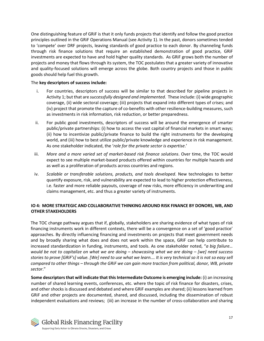One distinguishing feature of GRiF is that it only funds projects that identify and follow the good practice principles outlined in the GRiF Operations Manual (see Activity 1). In the past, donors sometimes tended to 'compete' over DRF projects, leaving standards of good practice to each donor. By channeling funds through risk finance solutions that require an established demonstration of good practice, GRiF investments are expected to have and hold higher quality standards. As GRiF grows both the number of projects and money that flows through its system, the TOC postulates that a greater variety of innovative and quality-focused solutions will emerge across the globe. Both country projects and those in public goods should help fuel this growth.

#### The **key descriptors of success include:**

- i. For countries, descriptors of success will be similar to that described for pipeline projects in Activity 1; but that are *successfully designed and implemented*. These include: (i) wide geographic coverage, (ii) wide sectoral coverage; (iii) projects that expand into different types of crises; and (iv) project that promote the capture of co-benefits with other resilience-building measures, such as investments in risk information, risk reduction, or better preparedness.
- ii. For public good investments, descriptors of success will be around the emergence of smarter public/private partnerships: (i) how to access the vast capital of financial markets in smart ways; (ii) how to incentivize public/private finance to build the right instruments for the developing world, and (iii) how to best utilize public/private knowledge and experience in risk management. As one stakeholder indicated, the '*role for the private sector is expertise*.'
- iii. *More and a more varied set of market-based risk finance solutions*. Over time, the TOC would expect to see multiple market-based products offered within countries for multiple hazards and as well as a proliferation of products across countries and regions.
- iv. *Scalable or transferable solutions, products, and tools developed*. New technologies to better quantify exposure, risk, and vulnerability are expected to lead to higher protection effectiveness, i.e. faster and more reliable payouts, coverage of new risks, more efficiency in underwriting and claims management, etc. and thus a greater variety of instruments.

#### **IO 4: MORE STRATEGIC AND COLLABORATIVE THINKING AROUND RISK FINANCE BY DONORS, WB, AND OTHER STAKEHOLDERS**

The TOC change pathway argues that if, globally, stakeholders are sharing evidence of what types of risk financing instruments work in different contexts, there will be a convergence on a set of 'good practice' approaches. By directly influencing financing and investments on projects that meet government needs and by broadly sharing what does and does not work within the space, GRiF can help contribute to increased standardization in funding, instruments, and tools. As one stakeholder noted, "*a big failure… would be not to capitalize on what we are doing – showcasing what we are doing – [we] need success stories to prove [GRiF's] value. [We] need to use what we learn.… It is very technical so it is not so easy sell compared to other things – through the GRiF we can gain more traction from political, donor, WB, private sector*."

**Some descriptors that will indicate that this Intermediate Outcome is emerging include:** (i) an increasing number of shared learning events, conferences, etc. where the topic of risk finance for disasters, crises, and other shocks is discussed and debated and where GRiF examples are shared; (ii) lessons learned from GRiF and other projects are documented, shared, and discussed, including the dissemination of robust independent evaluations and reviews; (iii) an increase in the number of cross-collaboration and sharing

![](_page_16_Picture_9.jpeg)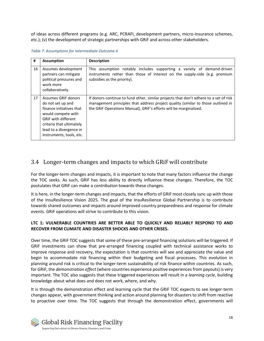of ideas across different programs (e.g. ARC, PCRAFI, development partners, micro-insurance schemes, etc.); (v) the development of strategic partnerships with GRiF and across other stakeholders.

| #  | <b>Assumption</b>                                                                                                                                                                                           | <b>Description</b>                                                                                                                                                                                                                             |
|----|-------------------------------------------------------------------------------------------------------------------------------------------------------------------------------------------------------------|------------------------------------------------------------------------------------------------------------------------------------------------------------------------------------------------------------------------------------------------|
| 16 | Assumes development<br>partners can mitigate<br>political pressures and<br>work more<br>collaboratively.                                                                                                    | This assumption notably includes supporting a variety of demand-driven<br>instruments rather than those of interest on the supply-side (e.g. premium<br>subsidies as the priority).                                                            |
| 17 | Assumes GRIF donors<br>do not set up and<br>finance initiatives that<br>would compete with<br><b>GRIF with different</b><br>criteria that ultimately<br>lead to a divergence in<br>instruments, tools, etc. | If donors continue to fund other, similar projects that don't adhere to a set of risk<br>management principles that address project quality (similar to those outlined in<br>the GRIF Operations Manual), GRIF's efforts will be marginalized. |

<span id="page-17-1"></span>*Table 7: Assumptions for Intermediate Outcome 4*

### <span id="page-17-0"></span>3.4 Longer-term changes and impacts to which GRiF will contribute

For the longer-term changes and impacts, it is important to note that many factors influence the change the TOC seeks. As such, GRiF has less ability to directly influence these changes. Therefore, the TOC postulates that GRiF can make a *contribution* towards these changes.

It is here, in the longer-term changes and impacts, that the efforts of GRiF most closely sync up with those of the InsuResilience Vision 2025. The goal of the InsuResilience Global Partnership is to contribute towards shared outcomes and impacts around improved country preparedness and response for climate events. GRiF operations will strive to contribute to this vision.

#### **LTC 1: VULNERABLE COUNTRIES ARE BETTER ABLE TO QUICKLY AND RELIABLY RESPOND TO AND RECOVER FROM CLIMATE AND DISASTER SHOCKS AND OTHER CRISES.**

Over time, the GRiF TOC suggests that some of these pre-arranged financing solutions will be triggered. If GRiF investments can show that pre-arranged financing coupled with technical assistance works to improve response and recovery, the expectation is that countries will see and appreciate the value and begin to accommodate risk financing within their budgeting and fiscal processes. This evolution in planning around risk is critical to the longer-term sustainability of risk finance within countries. As such, for GRiF, the *demonstration effect* (where countries experience positive experiences from payouts) is very important. The TOC also suggests that these triggered experiences will result in a *learning cycle*, building knowledge about what does and does not work, where, and why.

It is through the demonstration effect and learning cycle that the GRiF TOC expects to see longer-term changes appear, with government thinking and action around planning for disasters to shift from reactive to proactive over time. The TOC suggests that through the demonstration effect, governments will

![](_page_17_Picture_9.jpeg)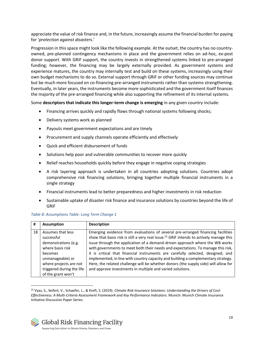appreciate the value of risk finance and, in the future, increasingly assume the financial burden for paying for '*protection against disasters*.'

Progression in this space might look like the following example. At the outset, the country has no countryowned, pre-planned contingency mechanisms in place and the government relies on ad-hoc, ex-post donor support. With GRiF support, the country invests in strengthened systems linked to pre-arranged funding; however, the financing may be largely externally provided. As government systems and experience matures, the country may internally test and build on these systems, increasingly using their own budget mechanisms to do so. External support through GRiF or other funding sources may continue but be much more focused on co-financing pre-arranged instruments rather than systems strengthening. Eventually, in later years, the instruments become more sophisticated and the government itself finances the majority of the pre-arranged financing while also supporting the refinement of its internal systems.

Some **descriptors that indicate this longer-term change is emerging** in any given country include:

- Financing arrives quickly and rapidly flows through national systems following shocks;
- Delivery systems work as planned
- Payouts meet government expectations and are timely
- Procurement and supply channels operate efficiently and effectively
- Quick and efficient disbursement of funds
- Solutions help poor and vulnerable communities to recover more quickly
- Relief reaches households quickly before they engage in negative coping strategies
- A risk layering approach is undertaken in all countries adopting solutions. Countries adopt comprehensive risk financing solutions, bringing together multiple financial instruments in a single strategy
- Financial instruments lead to better preparedness and higher investments in risk reduction
- Sustainable uptake of disaster risk finance and insurance solutions by countries beyond the life of GRiF

| #  | <b>Assumption</b>                                                                                                                                                                       | <b>Description</b>                                                                                                                                                                                                                                                                                                                                                                                                                                                                                                                                                                                                                                                                     |
|----|-----------------------------------------------------------------------------------------------------------------------------------------------------------------------------------------|----------------------------------------------------------------------------------------------------------------------------------------------------------------------------------------------------------------------------------------------------------------------------------------------------------------------------------------------------------------------------------------------------------------------------------------------------------------------------------------------------------------------------------------------------------------------------------------------------------------------------------------------------------------------------------------|
| 18 | Assumes that less<br>successful<br>demonstrations (e.g.<br>where basis risk<br>becomes<br>unmanageable) or<br>where projects are not<br>triggered during the life<br>of the grant won't | Emerging evidence from evaluations of several pre-arranged financing facilities<br>show that basis risk is still a very real issue. <sup>25</sup> GRIF intends to actively manage this<br>issue through the application of a demand-driven approach where the WB works<br>with governments to meet both their needs and expectations. To manage this risk,<br>it is critical that financial instruments are carefully selected, designed, and<br>implemented, in line with country capacity and building a complementary strategy.<br>Here, the related challenge will be whether donors (the supply side) will allow for<br>and approve investments in multiple and varied solutions. |

#### <span id="page-18-0"></span>*Table 8: Assumptions Table: Long Term Change 1*

<sup>25</sup> Vyas, S., Seifert, V., Schaefer, L., & Kreft, S. (2019). *Climate Risk Insurance Solutions: Understanding the Drivers of Cost-Effectiveness: A Multi-Criteria Assessment Framework and Key Performance Indicators.* Munich: Munich Climate Insurance Initiative Discussion Paper Series.

![](_page_18_Picture_16.jpeg)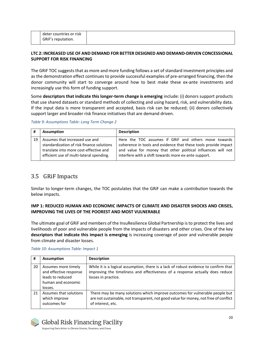#### **LTC 2: INCREASED USE OF AND DEMAND FOR BETTER DESIGNED AND DEMAND-DRIVEN CONCESSIONAL SUPPORT FOR RISK FINANCING**

The GRiF TOC suggests that as more and more funding follows a set of standard investment principles and as the demonstration effect continues to provide successful examples of pre-arranged financing, then the donor community will start to converge around how to best make these ex-ante investments and increasingly use this form of funding support.

Some **descriptors that indicate this longer-term change is emerging** include: (i) donors support products that use shared datasets or standard methods of collecting and using hazard, risk, and vulnerability data. If the input data is more transparent and accepted, basis risk can be reduced; (ii) donors collectively support larger and broader risk finance initiatives that are demand driven.

#### <span id="page-19-1"></span>*Table 9: Assumptions Table: Long Term Change 2*

|    | <b>Assumption</b>                                                                                                                                                 | <b>Description</b>                                                                                                                                                                                                                              |
|----|-------------------------------------------------------------------------------------------------------------------------------------------------------------------|-------------------------------------------------------------------------------------------------------------------------------------------------------------------------------------------------------------------------------------------------|
| 19 | Assumes that increased use and<br>standardization of risk finance solutions<br>translate into more cost-effective and<br>efficient use of multi-lateral spending. | Here the TOC assumes if GRIF and others move towards<br>coherence in tools and evidence that these tools provide impact<br>and value for money that other political influences will not<br>interfere with a shift towards more ex-ante support. |

## <span id="page-19-0"></span>3.5 GRiF Impacts

Similar to longer-term changes, the TOC postulates that the GRiF can make a *contribution* towards the below impacts.

#### **IMP 1: REDUCED HUMAN AND ECONOMIC IMPACTS OF CLIMATE AND DISASTER SHOCKS AND CRISES, IMPROVING THE LIVES OF THE POOREST AND MOST VULNERABLE**

The ultimate goal of GRiF and members of the InsuResilience Global Partnership is to protect the lives and livelihoods of poor and vulnerable people from the impacts of disasters and other crises. One of the key **descriptors that indicate this impact is emerging** is increasing coverage of poor and vulnerable people from climate and disaster losses.

| #  | <b>Assumption</b>                                                                                  | <b>Description</b>                                                                                                                                                                           |  |
|----|----------------------------------------------------------------------------------------------------|----------------------------------------------------------------------------------------------------------------------------------------------------------------------------------------------|--|
| 20 | Assumes more timely<br>and effective response<br>leads to reduced<br>human and economic<br>losses. | While it is a logical assumption, there is a lack of robust evidence to confirm that<br>improving the timeliness and effectiveness of a response actually does reduce<br>losses in practice. |  |
| 21 | Assumes that solutions<br>which improve<br>outcomes for                                            | There may be many solutions which improve outcomes for vulnerable people but<br>are not sustainable, not transparent, not good value for money, not free of conflict<br>of interest, etc.    |  |

#### <span id="page-19-2"></span>*Table 10: Assumptions Table: Impact 1*

![](_page_19_Picture_12.jpeg)

**Global Risk Financing Facility** 

Supporting Early Action to Climate Shocks, Disasters, and Crises